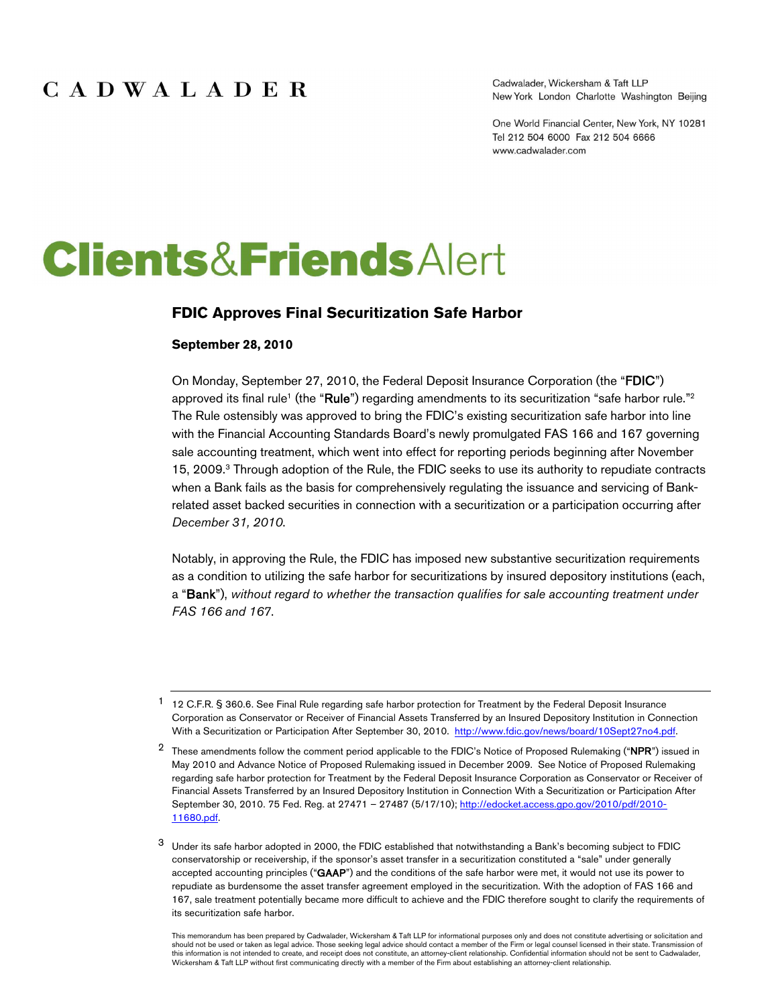Cadwalader, Wickersham & Taft LLP New York London Charlotte Washington Beijing

One World Financial Center, New York, NY 10281 Tel 212 504 6000 Fax 212 504 6666 www.cadwalader.com

# **Clients&FriendsAlert**

#### **FDIC Approves Final Securitization Safe Harbor**

#### **September 28, 2010**

On Monday, September 27, 2010, the Federal Deposit Insurance Corporation (the "FDIC") approved its final rule<sup>1</sup> (the "Rule") regarding amendments to its securitization "safe harbor rule."<sup>2</sup> The Rule ostensibly was approved to bring the FDIC's existing securitization safe harbor into line with the Financial Accounting Standards Board's newly promulgated FAS 166 and 167 governing sale accounting treatment, which went into effect for reporting periods beginning after November 15, 2009.<sup>3</sup> Through adoption of the Rule, the FDIC seeks to use its authority to repudiate contracts when a Bank fails as the basis for comprehensively regulating the issuance and servicing of Bankrelated asset backed securities in connection with a securitization or a participation occurring after *December 31, 2010*.

Notably, in approving the Rule, the FDIC has imposed new substantive securitization requirements as a condition to utilizing the safe harbor for securitizations by insured depository institutions (each, a "Bank"), *without regard to whether the transaction qualifies for sale accounting treatment under FAS 166 and 167*.

<sup>1</sup> 12 C.F.R. § 360.6. See Final Rule regarding safe harbor protection for Treatment by the Federal Deposit Insurance Corporation as Conservator or Receiver of Financial Assets Transferred by an Insured Depository Institution in Connection With a Securitization or Participation After September 30, 2010. http://www.fdic.gov/news/board/10Sept27no4.pdf.

<sup>&</sup>lt;sup>2</sup> These amendments follow the comment period applicable to the FDIC's Notice of Proposed Rulemaking ("NPR") issued in May 2010 and Advance Notice of Proposed Rulemaking issued in December 2009. See Notice of Proposed Rulemaking regarding safe harbor protection for Treatment by the Federal Deposit Insurance Corporation as Conservator or Receiver of Financial Assets Transferred by an Insured Depository Institution in Connection With a Securitization or Participation After September 30, 2010. 75 Fed. Reg. at 27471 - 27487 (5/17/10); http://edocket.access.gpo.gov/2010/pdf/2010-11680.pdf.

<sup>3</sup> Under its safe harbor adopted in 2000, the FDIC established that notwithstanding a Bank's becoming subject to FDIC conservatorship or receivership, if the sponsor's asset transfer in a securitization constituted a "sale" under generally accepted accounting principles ("GAAP") and the conditions of the safe harbor were met, it would not use its power to repudiate as burdensome the asset transfer agreement employed in the securitization. With the adoption of FAS 166 and 167, sale treatment potentially became more difficult to achieve and the FDIC therefore sought to clarify the requirements of its securitization safe harbor.

This memorandum has been prepared by Cadwalader, Wickersham & Taft LLP for informational purposes only and does not constitute advertising or solicitation and should not be used or taken as legal advice. Those seeking legal advice should contact a member of the Firm or legal counsel licensed in their state. Transmission of this information is not intended to create, and receipt does not constitute, an attorney-client relationship. Confidential information should not be sent to Cadwalader,<br>Wickersham & Taft LLP without first communicating dir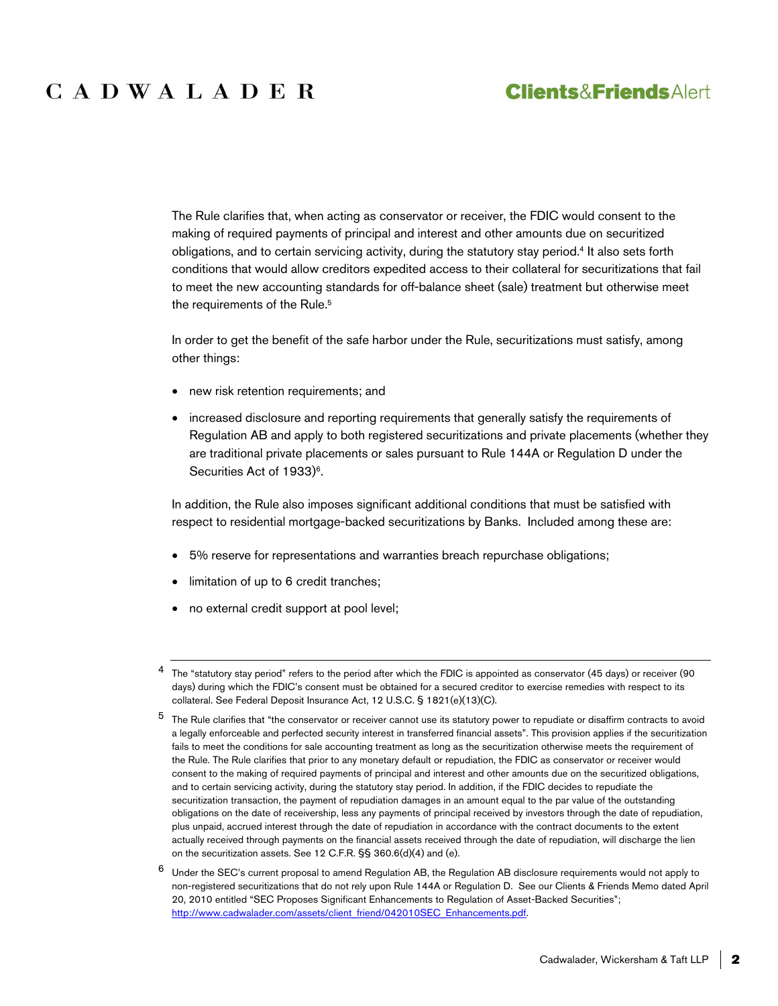# CADWALADER

## **Clients&FriendsAlert**

The Rule clarifies that, when acting as conservator or receiver, the FDIC would consent to the making of required payments of principal and interest and other amounts due on securitized obligations, and to certain servicing activity, during the statutory stay period.<sup>4</sup> It also sets forth conditions that would allow creditors expedited access to their collateral for securitizations that fail to meet the new accounting standards for off-balance sheet (sale) treatment but otherwise meet the requirements of the Rule.<sup>5</sup>

In order to get the benefit of the safe harbor under the Rule, securitizations must satisfy, among other things:

- new risk retention requirements; and
- increased disclosure and reporting requirements that generally satisfy the requirements of Regulation AB and apply to both registered securitizations and private placements (whether they are traditional private placements or sales pursuant to Rule 144A or Regulation D under the Securities Act of 1933)<sup>6</sup>.

In addition, the Rule also imposes significant additional conditions that must be satisfied with respect to residential mortgage-backed securitizations by Banks. Included among these are:

- 5% reserve for representations and warranties breach repurchase obligations;
- limitation of up to 6 credit tranches;
- no external credit support at pool level;

<sup>&</sup>lt;sup>4</sup> The "statutory stay period" refers to the period after which the FDIC is appointed as conservator (45 days) or receiver (90 days) during which the FDIC's consent must be obtained for a secured creditor to exercise remedies with respect to its collateral. See Federal Deposit Insurance Act, 12 U.S.C. § 1821(e)(13)(C).

<sup>&</sup>lt;sup>5</sup> The Rule clarifies that "the conservator or receiver cannot use its statutory power to repudiate or disaffirm contracts to avoid a legally enforceable and perfected security interest in transferred financial assets". This provision applies if the securitization fails to meet the conditions for sale accounting treatment as long as the securitization otherwise meets the requirement of the Rule. The Rule clarifies that prior to any monetary default or repudiation, the FDIC as conservator or receiver would consent to the making of required payments of principal and interest and other amounts due on the securitized obligations, and to certain servicing activity, during the statutory stay period. In addition, if the FDIC decides to repudiate the securitization transaction, the payment of repudiation damages in an amount equal to the par value of the outstanding obligations on the date of receivership, less any payments of principal received by investors through the date of repudiation, plus unpaid, accrued interest through the date of repudiation in accordance with the contract documents to the extent actually received through payments on the financial assets received through the date of repudiation, will discharge the lien on the securitization assets. See 12 C.F.R. §§ 360.6(d)(4) and (e).

<sup>6</sup> Under the SEC's current proposal to amend Regulation AB, the Regulation AB disclosure requirements would not apply to non-registered securitizations that do not rely upon Rule 144A or Regulation D. See our Clients & Friends Memo dated April 20, 2010 entitled "SEC Proposes Significant Enhancements to Regulation of Asset-Backed Securities"; http://www.cadwalader.com/assets/client\_friend/042010SEC\_Enhancements.pdf.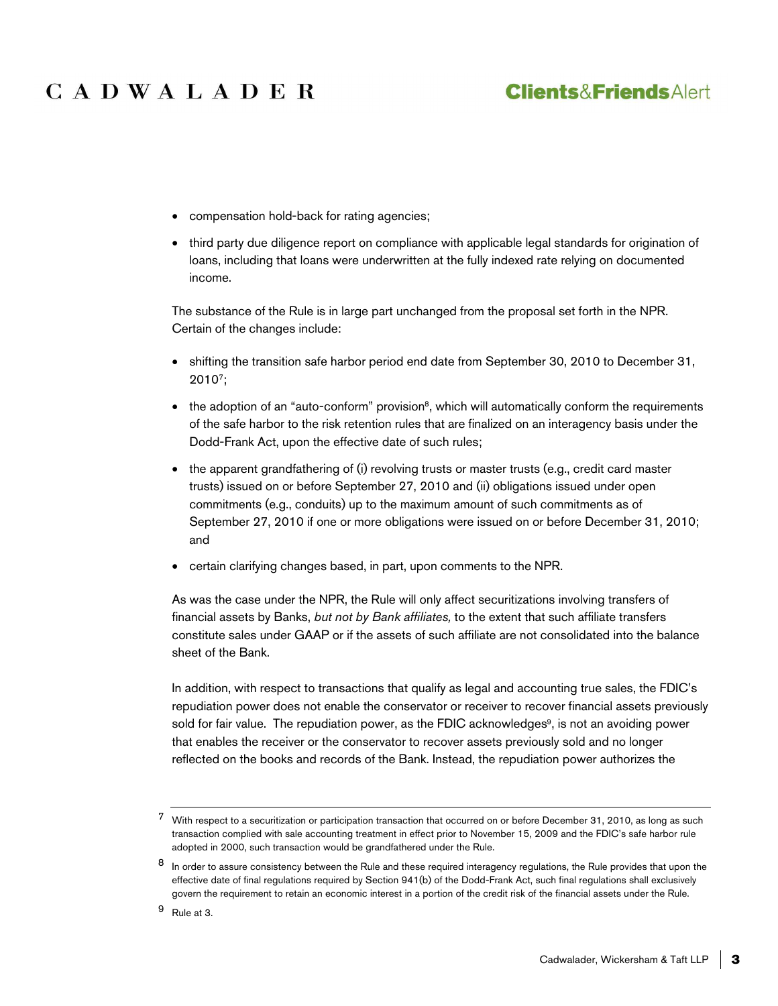# CADWALADER

## **Clients&FriendsAlert**

- compensation hold-back for rating agencies;
- third party due diligence report on compliance with applicable legal standards for origination of loans, including that loans were underwritten at the fully indexed rate relying on documented income.

The substance of the Rule is in large part unchanged from the proposal set forth in the NPR. Certain of the changes include:

- shifting the transition safe harbor period end date from September 30, 2010 to December 31, 2010<sup>7</sup> ;
- $\bullet$  the adoption of an "auto-conform" provision<sup>8</sup>, which will automatically conform the requirements of the safe harbor to the risk retention rules that are finalized on an interagency basis under the Dodd-Frank Act, upon the effective date of such rules;
- the apparent grandfathering of (i) revolving trusts or master trusts (e.g., credit card master trusts) issued on or before September 27, 2010 and (ii) obligations issued under open commitments (e.g., conduits) up to the maximum amount of such commitments as of September 27, 2010 if one or more obligations were issued on or before December 31, 2010; and
- certain clarifying changes based, in part, upon comments to the NPR.

As was the case under the NPR, the Rule will only affect securitizations involving transfers of financial assets by Banks, *but not by Bank affiliates,* to the extent that such affiliate transfers constitute sales under GAAP or if the assets of such affiliate are not consolidated into the balance sheet of the Bank.

In addition, with respect to transactions that qualify as legal and accounting true sales, the FDIC's repudiation power does not enable the conservator or receiver to recover financial assets previously sold for fair value. The repudiation power, as the FDIC acknowledges<sup>9</sup>, is not an avoiding power that enables the receiver or the conservator to recover assets previously sold and no longer reflected on the books and records of the Bank. Instead, the repudiation power authorizes the

<sup>7</sup> With respect to a securitization or participation transaction that occurred on or before December 31, 2010, as long as such transaction complied with sale accounting treatment in effect prior to November 15, 2009 and the FDIC's safe harbor rule adopted in 2000, such transaction would be grandfathered under the Rule.

<sup>8</sup> In order to assure consistency between the Rule and these required interagency regulations, the Rule provides that upon the effective date of final regulations required by Section 941(b) of the Dodd-Frank Act, such final regulations shall exclusively govern the requirement to retain an economic interest in a portion of the credit risk of the financial assets under the Rule.

<sup>9</sup> Rule at 3.